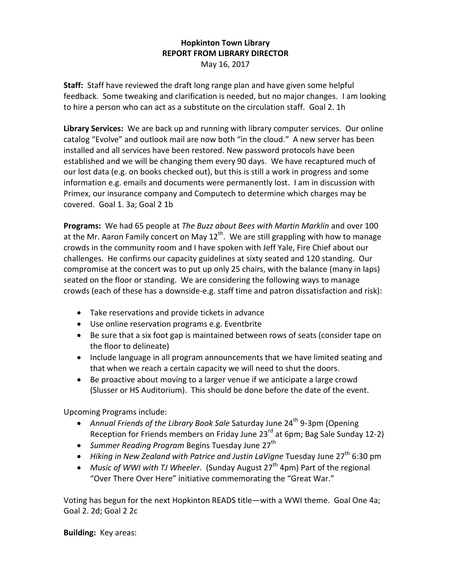## **Hopkinton Town Library REPORT FROM LIBRARY DIRECTOR** May 16, 2017

**Staff:** Staff have reviewed the draft long range plan and have given some helpful feedback. Some tweaking and clarification is needed, but no major changes. I am looking to hire a person who can act as a substitute on the circulation staff. Goal 2. 1h

**Library Services:** We are back up and running with library computer services. Our online catalog "Evolve" and outlook mail are now both "in the cloud." A new server has been installed and all services have been restored. New password protocols have been established and we will be changing them every 90 days. We have recaptured much of our lost data (e.g. on books checked out), but this is still a work in progress and some information e.g. emails and documents were permanently lost. I am in discussion with Primex, our insurance company and Computech to determine which charges may be covered. Goal 1. 3a; Goal 2 1b

**Programs:** We had 65 people at *The Buzz about Bees with Martin Marklin* and over 100 at the Mr. Aaron Family concert on May  $12<sup>th</sup>$ . We are still grappling with how to manage crowds in the community room and I have spoken with Jeff Yale, Fire Chief about our challenges. He confirms our capacity guidelines at sixty seated and 120 standing. Our compromise at the concert was to put up only 25 chairs, with the balance (many in laps) seated on the floor or standing. We are considering the following ways to manage crowds (each of these has a downside-e.g. staff time and patron dissatisfaction and risk):

- Take reservations and provide tickets in advance
- Use online reservation programs e.g. Eventbrite
- Be sure that a six foot gap is maintained between rows of seats (consider tape on the floor to delineate)
- Include language in all program announcements that we have limited seating and that when we reach a certain capacity we will need to shut the doors.
- Be proactive about moving to a larger venue if we anticipate a large crowd (Slusser or HS Auditorium). This should be done before the date of the event.

Upcoming Programs include:

- Annual Friends of the Library Book Sale Saturday June 24<sup>th</sup> 9-3pm (Opening Reception for Friends members on Friday June  $23^{rd}$  at 6pm; Bag Sale Sunday 12-2)
- *Summer Reading Program* Begins Tuesday June 27<sup>th</sup>
- Hiking in New Zealand with Patrice and Justin LaVigne Tuesday June 27<sup>th</sup> 6:30 pm
- *Music of WWI with TJ Wheeler.* (Sunday August 27<sup>th</sup> 4pm) Part of the regional "Over There Over Here" initiative commemorating the "Great War."

Voting has begun for the next Hopkinton READS title—with a WWI theme. Goal One 4a; Goal 2. 2d; Goal 2 2c

**Building:** Key areas: